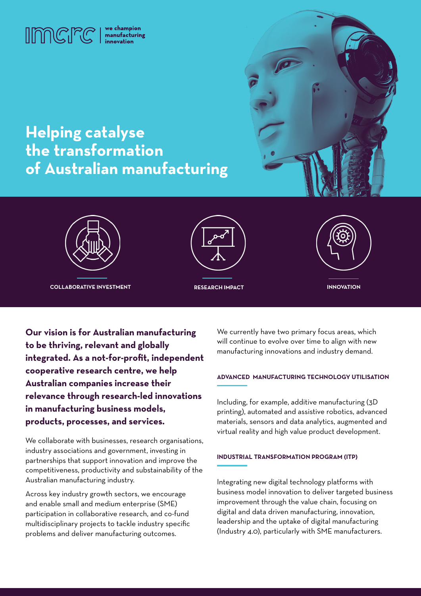

# **Helping catalyse the transformation of Australian manufacturing**









**Our vision is for Australian manufacturing to be thriving, relevant and globally integrated. As a not-for-profit, independent cooperative research centre, we help Australian companies increase their relevance through research-led innovations in manufacturing business models, products, processes, and services.**

We collaborate with businesses, research organisations, industry associations and government, investing in partnerships that support innovation and improve the competitiveness, productivity and substainability of the Australian manufacturing industry.

Across key industry growth sectors, we encourage and enable small and medium enterprise (SME) participation in collaborative research, and co-fund multidisciplinary projects to tackle industry specific problems and deliver manufacturing outcomes.

We currently have two primary focus areas, which will continue to evolve over time to align with new manufacturing innovations and industry demand.

### **ADVANCED MANUFACTURING TECHNOLOGY UTILISATION**

Including, for example, additive manufacturing (3D printing), automated and assistive robotics, advanced materials, sensors and data analytics, augmented and virtual reality and high value product development.

#### **INDUSTRIAL TRANSFORMATION PROGRAM (ITP)**

Integrating new digital technology platforms with business model innovation to deliver targeted business improvement through the value chain, focusing on digital and data driven manufacturing, innovation, leadership and the uptake of digital manufacturing (Industry 4.0), particularly with SME manufacturers.